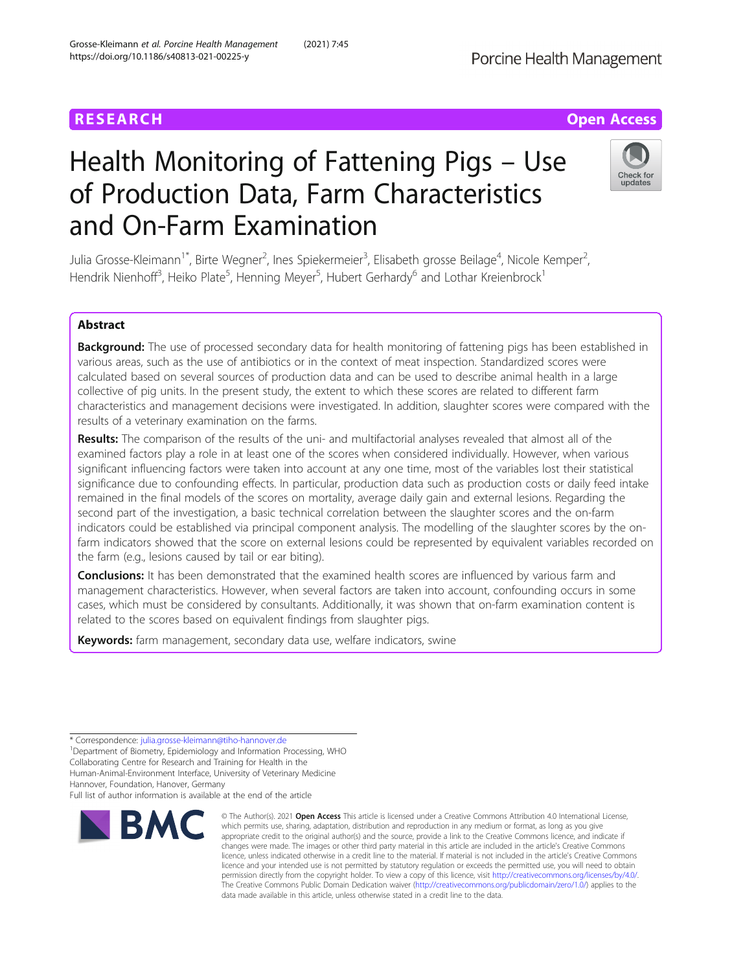# Health Monitoring of Fattening Pigs – Use of Production Data, Farm Characteristics and On-Farm Examination

Julia Grosse-Kleimann<sup>1\*</sup>, Birte Wegner<sup>2</sup>, Ines Spiekermeier<sup>3</sup>, Elisabeth grosse Beilage<sup>4</sup>, Nicole Kemper<sup>2</sup> , Hendrik Nienhoff<sup>3</sup>, Heiko Plate<sup>5</sup>, Henning Meyer<sup>5</sup>, Hubert Gerhardy<sup>6</sup> and Lothar Kreienbrock<sup>1</sup>

# Abstract

Background: The use of processed secondary data for health monitoring of fattening pigs has been established in various areas, such as the use of antibiotics or in the context of meat inspection. Standardized scores were calculated based on several sources of production data and can be used to describe animal health in a large collective of pig units. In the present study, the extent to which these scores are related to different farm characteristics and management decisions were investigated. In addition, slaughter scores were compared with the results of a veterinary examination on the farms.

Results: The comparison of the results of the uni- and multifactorial analyses revealed that almost all of the examined factors play a role in at least one of the scores when considered individually. However, when various significant influencing factors were taken into account at any one time, most of the variables lost their statistical significance due to confounding effects. In particular, production data such as production costs or daily feed intake remained in the final models of the scores on mortality, average daily gain and external lesions. Regarding the second part of the investigation, a basic technical correlation between the slaughter scores and the on-farm indicators could be established via principal component analysis. The modelling of the slaughter scores by the onfarm indicators showed that the score on external lesions could be represented by equivalent variables recorded on the farm (e.g., lesions caused by tail or ear biting).

**Conclusions:** It has been demonstrated that the examined health scores are influenced by various farm and management characteristics. However, when several factors are taken into account, confounding occurs in some cases, which must be considered by consultants. Additionally, it was shown that on-farm examination content is related to the scores based on equivalent findings from slaughter pigs.

Keywords: farm management, secondary data use, welfare indicators, swine

\* Correspondence: [julia.grosse-kleimann@tiho-hannover.de](mailto:julia.grosse-kleimann@tiho-hannover.de) <sup>1</sup>

<sup>1</sup>Department of Biometry, Epidemiology and Information Processing, WHO Collaborating Centre for Research and Training for Health in the Human-Animal-Environment Interface, University of Veterinary Medicine Hannover, Foundation, Hanover, Germany

Full list of author information is available at the end of the article



© The Author(s), 2021 **Open Access** This article is licensed under a Creative Commons Attribution 4.0 International License,



**RESEARCH CHE Open Access**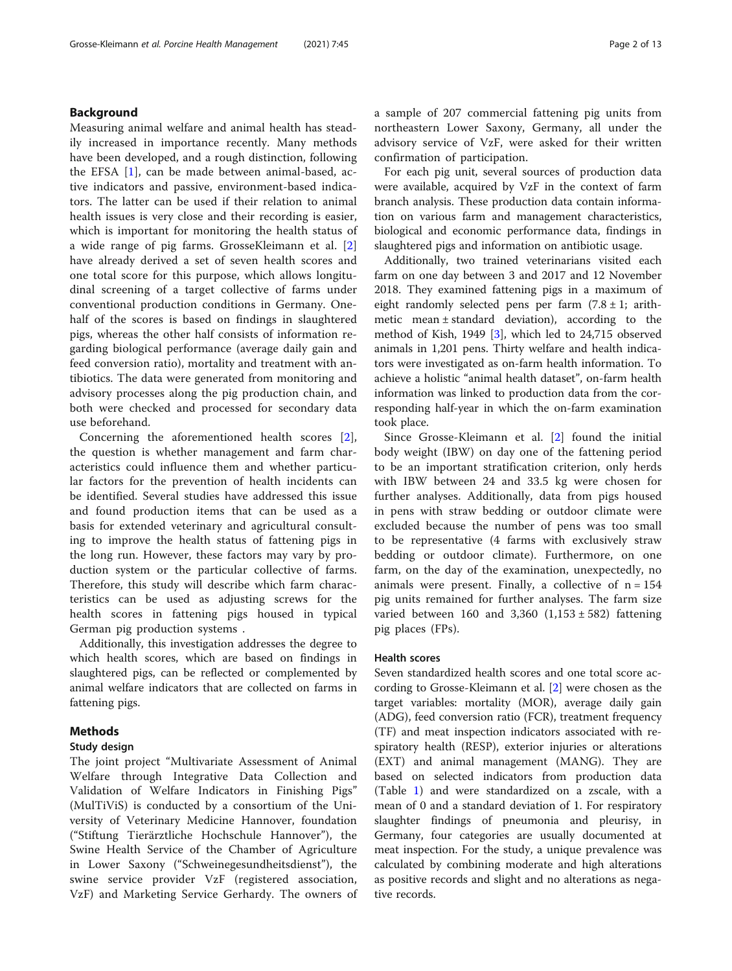# Background

Measuring animal welfare and animal health has steadily increased in importance recently. Many methods have been developed, and a rough distinction, following the EFSA [\[1](#page-11-0)], can be made between animal-based, active indicators and passive, environment-based indicators. The latter can be used if their relation to animal health issues is very close and their recording is easier, which is important for monitoring the health status of a wide range of pig farms. GrosseKleimann et al. [\[2](#page-11-0)] have already derived a set of seven health scores and one total score for this purpose, which allows longitudinal screening of a target collective of farms under conventional production conditions in Germany. Onehalf of the scores is based on findings in slaughtered pigs, whereas the other half consists of information regarding biological performance (average daily gain and feed conversion ratio), mortality and treatment with antibiotics. The data were generated from monitoring and advisory processes along the pig production chain, and both were checked and processed for secondary data use beforehand.

Concerning the aforementioned health scores [\[2](#page-11-0)], the question is whether management and farm characteristics could influence them and whether particular factors for the prevention of health incidents can be identified. Several studies have addressed this issue and found production items that can be used as a basis for extended veterinary and agricultural consulting to improve the health status of fattening pigs in the long run. However, these factors may vary by production system or the particular collective of farms. Therefore, this study will describe which farm characteristics can be used as adjusting screws for the health scores in fattening pigs housed in typical German pig production systems .

Additionally, this investigation addresses the degree to which health scores, which are based on findings in slaughtered pigs, can be reflected or complemented by animal welfare indicators that are collected on farms in fattening pigs.

# Methods

## Study design

The joint project "Multivariate Assessment of Animal Welfare through Integrative Data Collection and Validation of Welfare Indicators in Finishing Pigs" (MulTiViS) is conducted by a consortium of the University of Veterinary Medicine Hannover, foundation ("Stiftung Tierärztliche Hochschule Hannover"), the Swine Health Service of the Chamber of Agriculture in Lower Saxony ("Schweinegesundheitsdienst"), the swine service provider VzF (registered association, VzF) and Marketing Service Gerhardy. The owners of a sample of 207 commercial fattening pig units from northeastern Lower Saxony, Germany, all under the advisory service of VzF, were asked for their written confirmation of participation.

For each pig unit, several sources of production data were available, acquired by VzF in the context of farm branch analysis. These production data contain information on various farm and management characteristics, biological and economic performance data, findings in slaughtered pigs and information on antibiotic usage.

Additionally, two trained veterinarians visited each farm on one day between 3 and 2017 and 12 November 2018. They examined fattening pigs in a maximum of eight randomly selected pens per farm  $(7.8 \pm 1)$ ; arithmetic mean ± standard deviation), according to the method of Kish, 1949 [\[3\]](#page-11-0), which led to 24,715 observed animals in 1,201 pens. Thirty welfare and health indicators were investigated as on-farm health information. To achieve a holistic "animal health dataset", on-farm health information was linked to production data from the corresponding half-year in which the on-farm examination took place.

Since Grosse-Kleimann et al. [\[2](#page-11-0)] found the initial body weight (IBW) on day one of the fattening period to be an important stratification criterion, only herds with IBW between 24 and 33.5 kg were chosen for further analyses. Additionally, data from pigs housed in pens with straw bedding or outdoor climate were excluded because the number of pens was too small to be representative (4 farms with exclusively straw bedding or outdoor climate). Furthermore, on one farm, on the day of the examination, unexpectedly, no animals were present. Finally, a collective of  $n = 154$ pig units remained for further analyses. The farm size varied between 160 and  $3,360$   $(1,153 \pm 582)$  fattening pig places (FPs).

## Health scores

Seven standardized health scores and one total score according to Grosse-Kleimann et al. [[2\]](#page-11-0) were chosen as the target variables: mortality (MOR), average daily gain (ADG), feed conversion ratio (FCR), treatment frequency (TF) and meat inspection indicators associated with respiratory health (RESP), exterior injuries or alterations (EXT) and animal management (MANG). They are based on selected indicators from production data (Table [1](#page-2-0)) and were standardized on a zscale, with a mean of 0 and a standard deviation of 1. For respiratory slaughter findings of pneumonia and pleurisy, in Germany, four categories are usually documented at meat inspection. For the study, a unique prevalence was calculated by combining moderate and high alterations as positive records and slight and no alterations as negative records.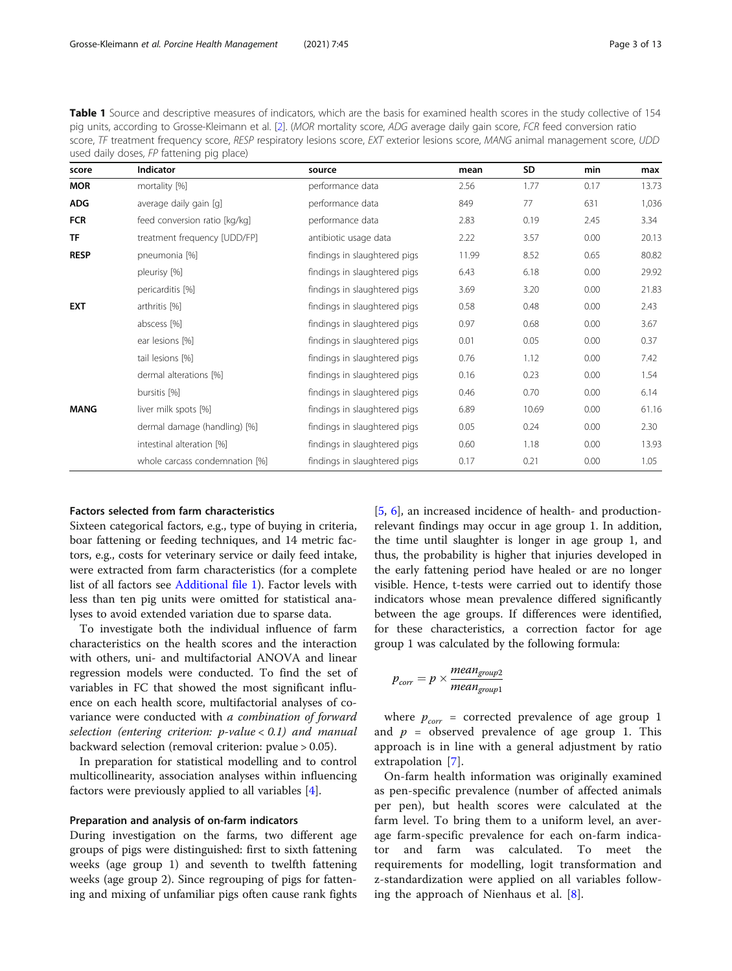<span id="page-2-0"></span>Table 1 Source and descriptive measures of indicators, which are the basis for examined health scores in the study collective of 154 pig units, according to Grosse-Kleimann et al. [[2](#page-11-0)]. (MOR mortality score, ADG average daily gain score, FCR feed conversion ratio score, TF treatment frequency score, RESP respiratory lesions score, EXT exterior lesions score, MANG animal management score, UDD used daily doses, FP fattening pig place)

| score       | <b>Indicator</b>               | source                       | mean  | SD    | min  | max   |
|-------------|--------------------------------|------------------------------|-------|-------|------|-------|
| <b>MOR</b>  | mortality [%]                  | performance data             | 2.56  | 1.77  | 0.17 | 13.73 |
| <b>ADG</b>  | average daily gain [g]         | performance data             | 849   | 77    | 631  | 1,036 |
| <b>FCR</b>  | feed conversion ratio [kg/kg]  | performance data             | 2.83  | 0.19  | 2.45 | 3.34  |
| <b>TF</b>   | treatment frequency [UDD/FP]   | antibiotic usage data        | 2.22  | 3.57  | 0.00 | 20.13 |
| <b>RESP</b> | pneumonia [%]                  | findings in slaughtered pigs | 11.99 | 8.52  | 0.65 | 80.82 |
|             | pleurisy [%]                   | findings in slaughtered pigs | 6.43  | 6.18  | 0.00 | 29.92 |
|             | pericarditis [%]               | findings in slaughtered pigs | 3.69  | 3.20  | 0.00 | 21.83 |
| <b>EXT</b>  | arthritis [%]                  | findings in slaughtered pigs | 0.58  | 0.48  | 0.00 | 2.43  |
|             | abscess [%]                    | findings in slaughtered pigs | 0.97  | 0.68  | 0.00 | 3.67  |
|             | ear lesions [%]                | findings in slaughtered pigs | 0.01  | 0.05  | 0.00 | 0.37  |
|             | tail lesions [%]               | findings in slaughtered pigs | 0.76  | 1.12  | 0.00 | 7.42  |
|             | dermal alterations [%]         | findings in slaughtered pigs | 0.16  | 0.23  | 0.00 | 1.54  |
|             | bursitis [%]                   | findings in slaughtered pigs | 0.46  | 0.70  | 0.00 | 6.14  |
| <b>MANG</b> | liver milk spots [%]           | findings in slaughtered pigs | 6.89  | 10.69 | 0.00 | 61.16 |
|             | dermal damage (handling) [%]   | findings in slaughtered pigs | 0.05  | 0.24  | 0.00 | 2.30  |
|             | intestinal alteration [%]      | findings in slaughtered pigs | 0.60  | 1.18  | 0.00 | 13.93 |
|             | whole carcass condemnation [%] | findings in slaughtered pigs | 0.17  | 0.21  | 0.00 | 1.05  |

#### Factors selected from farm characteristics

Sixteen categorical factors, e.g., type of buying in criteria, boar fattening or feeding techniques, and 14 metric factors, e.g., costs for veterinary service or daily feed intake, were extracted from farm characteristics (for a complete list of all factors see [Additional file 1](#page-11-0)). Factor levels with less than ten pig units were omitted for statistical analyses to avoid extended variation due to sparse data.

To investigate both the individual influence of farm characteristics on the health scores and the interaction with others, uni- and multifactorial ANOVA and linear regression models were conducted. To find the set of variables in FC that showed the most significant influence on each health score, multifactorial analyses of covariance were conducted with a combination of forward selection (entering criterion:  $p$ -value < 0.1) and manual backward selection (removal criterion: pvalue > 0.05).

In preparation for statistical modelling and to control multicollinearity, association analyses within influencing factors were previously applied to all variables [\[4](#page-11-0)].

## Preparation and analysis of on-farm indicators

During investigation on the farms, two different age groups of pigs were distinguished: first to sixth fattening weeks (age group 1) and seventh to twelfth fattening weeks (age group 2). Since regrouping of pigs for fattening and mixing of unfamiliar pigs often cause rank fights [[5,](#page-11-0) [6](#page-11-0)], an increased incidence of health- and productionrelevant findings may occur in age group 1. In addition, the time until slaughter is longer in age group 1, and thus, the probability is higher that injuries developed in the early fattening period have healed or are no longer visible. Hence, t-tests were carried out to identify those indicators whose mean prevalence differed significantly between the age groups. If differences were identified, for these characteristics, a correction factor for age group 1 was calculated by the following formula:

$$
p_{corr} = p \times \frac{mean_{group2}}{mean_{group1}}
$$

where  $p_{corr}$  = corrected prevalence of age group 1 and  $p =$  observed prevalence of age group 1. This approach is in line with a general adjustment by ratio extrapolation [[7](#page-11-0)].

On-farm health information was originally examined as pen-specific prevalence (number of affected animals per pen), but health scores were calculated at the farm level. To bring them to a uniform level, an average farm-specific prevalence for each on-farm indicator and farm was calculated. To meet the requirements for modelling, logit transformation and z-standardization were applied on all variables following the approach of Nienhaus et al. [[8\]](#page-11-0).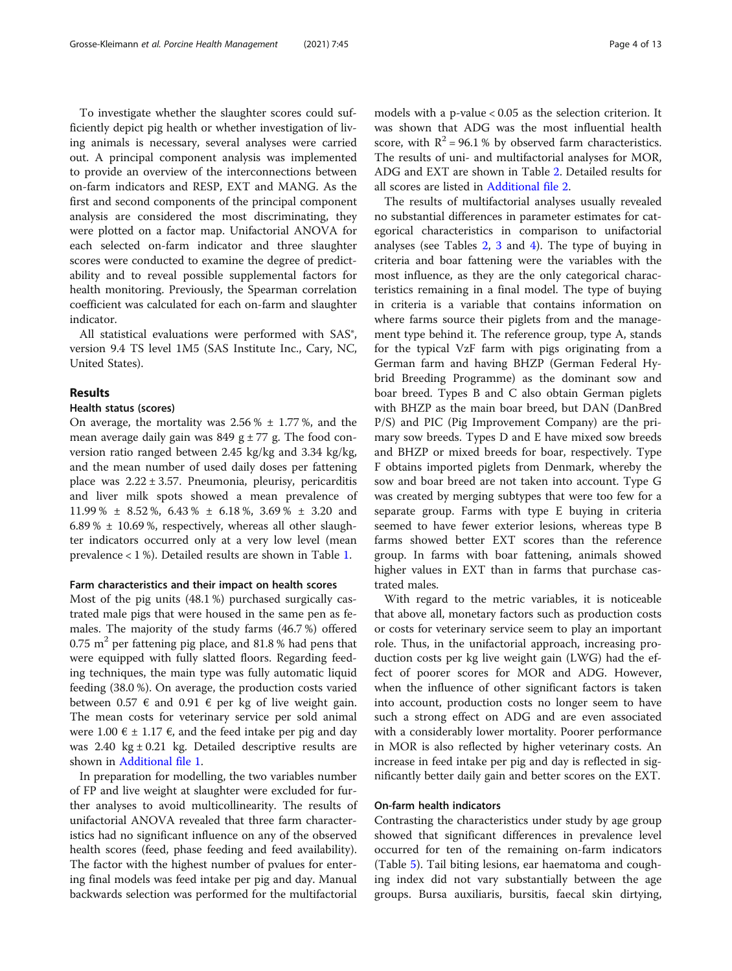To investigate whether the slaughter scores could sufficiently depict pig health or whether investigation of living animals is necessary, several analyses were carried out. A principal component analysis was implemented to provide an overview of the interconnections between on-farm indicators and RESP, EXT and MANG. As the first and second components of the principal component analysis are considered the most discriminating, they were plotted on a factor map. Unifactorial ANOVA for each selected on-farm indicator and three slaughter scores were conducted to examine the degree of predictability and to reveal possible supplemental factors for health monitoring. Previously, the Spearman correlation coefficient was calculated for each on-farm and slaughter indicator.

All statistical evaluations were performed with SAS®, version 9.4 TS level 1M5 (SAS Institute Inc., Cary, NC, United States).

# Results

## Health status (scores)

On average, the mortality was  $2.56\% \pm 1.77\%$ , and the mean average daily gain was  $849$  g  $\pm$  77 g. The food conversion ratio ranged between 2.45 kg/kg and 3.34 kg/kg, and the mean number of used daily doses per fattening place was  $2.22 \pm 3.57$ . Pneumonia, pleurisy, pericarditis and liver milk spots showed a mean prevalence of 11.99 % ± 8.52 %, 6.43 % ± 6.18 %, 3.69 % ± 3.20 and 6.89 %  $\pm$  10.69 %, respectively, whereas all other slaughter indicators occurred only at a very low level (mean prevalence < 1 %). Detailed results are shown in Table [1](#page-2-0).

## Farm characteristics and their impact on health scores

Most of the pig units (48.1 %) purchased surgically castrated male pigs that were housed in the same pen as females. The majority of the study farms (46.7 %) offered  $0.75$  m<sup>2</sup> per fattening pig place, and 81.8 % had pens that were equipped with fully slatted floors. Regarding feeding techniques, the main type was fully automatic liquid feeding (38.0 %). On average, the production costs varied between 0.57  $\epsilon$  and 0.91  $\epsilon$  per kg of live weight gain. The mean costs for veterinary service per sold animal were 1.00  $\epsilon$  ± 1.17  $\epsilon$ , and the feed intake per pig and day was  $2.40 \text{ kg} \pm 0.21 \text{ kg}$ . Detailed descriptive results are shown in [Additional file 1](#page-11-0).

In preparation for modelling, the two variables number of FP and live weight at slaughter were excluded for further analyses to avoid multicollinearity. The results of unifactorial ANOVA revealed that three farm characteristics had no significant influence on any of the observed health scores (feed, phase feeding and feed availability). The factor with the highest number of pvalues for entering final models was feed intake per pig and day. Manual backwards selection was performed for the multifactorial

models with a p-value < 0.05 as the selection criterion. It was shown that ADG was the most influential health score, with  $R^2 = 96.1$ % by observed farm characteristics. The results of uni- and multifactorial analyses for MOR, ADG and EXT are shown in Table [2](#page-4-0). Detailed results for all scores are listed in [Additional file 2.](#page-11-0)

The results of multifactorial analyses usually revealed no substantial differences in parameter estimates for categorical characteristics in comparison to unifactorial analyses (see Tables [2](#page-4-0), [3](#page-5-0) and [4](#page-6-0)). The type of buying in criteria and boar fattening were the variables with the most influence, as they are the only categorical characteristics remaining in a final model. The type of buying in criteria is a variable that contains information on where farms source their piglets from and the management type behind it. The reference group, type A, stands for the typical VzF farm with pigs originating from a German farm and having BHZP (German Federal Hybrid Breeding Programme) as the dominant sow and boar breed. Types B and C also obtain German piglets with BHZP as the main boar breed, but DAN (DanBred P/S) and PIC (Pig Improvement Company) are the primary sow breeds. Types D and E have mixed sow breeds and BHZP or mixed breeds for boar, respectively. Type F obtains imported piglets from Denmark, whereby the sow and boar breed are not taken into account. Type G was created by merging subtypes that were too few for a separate group. Farms with type E buying in criteria seemed to have fewer exterior lesions, whereas type B farms showed better EXT scores than the reference group. In farms with boar fattening, animals showed higher values in EXT than in farms that purchase castrated males.

With regard to the metric variables, it is noticeable that above all, monetary factors such as production costs or costs for veterinary service seem to play an important role. Thus, in the unifactorial approach, increasing production costs per kg live weight gain (LWG) had the effect of poorer scores for MOR and ADG. However, when the influence of other significant factors is taken into account, production costs no longer seem to have such a strong effect on ADG and are even associated with a considerably lower mortality. Poorer performance in MOR is also reflected by higher veterinary costs. An increase in feed intake per pig and day is reflected in significantly better daily gain and better scores on the EXT.

## On-farm health indicators

Contrasting the characteristics under study by age group showed that significant differences in prevalence level occurred for ten of the remaining on-farm indicators (Table [5\)](#page-7-0). Tail biting lesions, ear haematoma and coughing index did not vary substantially between the age groups. Bursa auxiliaris, bursitis, faecal skin dirtying,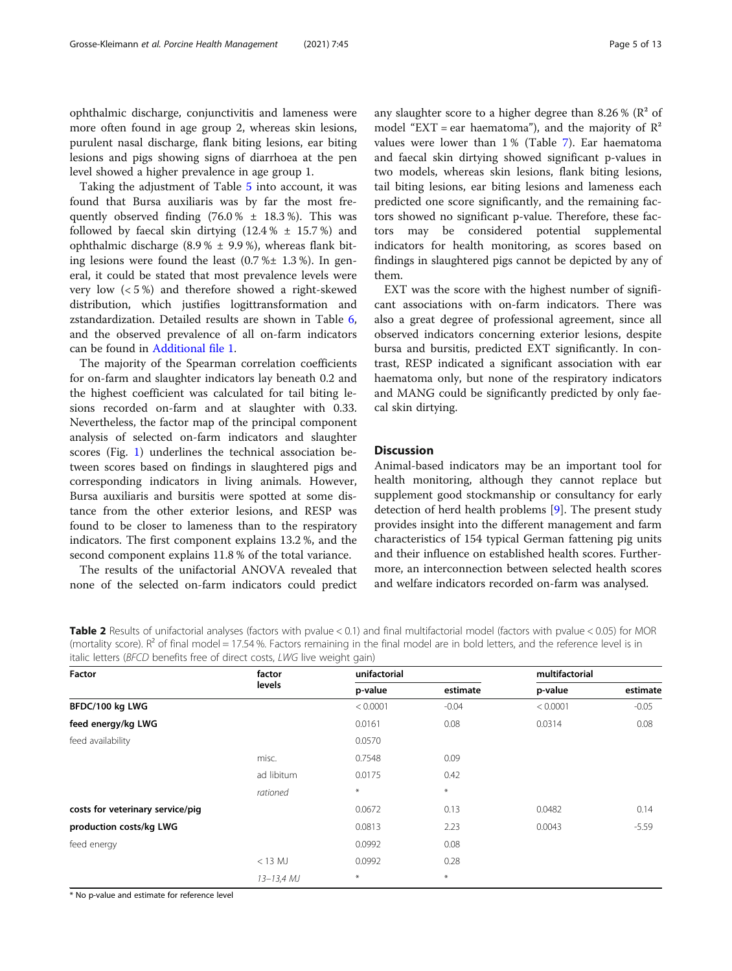<span id="page-4-0"></span>ophthalmic discharge, conjunctivitis and lameness were more often found in age group 2, whereas skin lesions, purulent nasal discharge, flank biting lesions, ear biting lesions and pigs showing signs of diarrhoea at the pen level showed a higher prevalence in age group 1.

Taking the adjustment of Table [5](#page-7-0) into account, it was found that Bursa auxiliaris was by far the most frequently observed finding  $(76.0 % \pm 18.3 %)$ . This was followed by faecal skin dirtying  $(12.4 % \pm 15.7%)$  and ophthalmic discharge  $(8.9 % \pm 9.9 %)$ , whereas flank biting lesions were found the least  $(0.7 %± 1.3 %)$ . In general, it could be stated that most prevalence levels were very low (< 5 %) and therefore showed a right-skewed distribution, which justifies logittransformation and zstandardization. Detailed results are shown in Table [6](#page-7-0), and the observed prevalence of all on-farm indicators can be found in [Additional file 1](#page-11-0).

The majority of the Spearman correlation coefficients for on-farm and slaughter indicators lay beneath 0.2 and the highest coefficient was calculated for tail biting lesions recorded on-farm and at slaughter with 0.33. Nevertheless, the factor map of the principal component analysis of selected on-farm indicators and slaughter scores (Fig. [1\)](#page-8-0) underlines the technical association between scores based on findings in slaughtered pigs and corresponding indicators in living animals. However, Bursa auxiliaris and bursitis were spotted at some distance from the other exterior lesions, and RESP was found to be closer to lameness than to the respiratory indicators. The first component explains 13.2 %, and the second component explains 11.8 % of the total variance.

The results of the unifactorial ANOVA revealed that none of the selected on-farm indicators could predict any slaughter score to a higher degree than 8.26 % ( $\mathbb{R}^2$  of model "EXT = ear haematoma"), and the majority of  $\mathbb{R}^2$ values were lower than 1 % (Table [7\)](#page-9-0). Ear haematoma and faecal skin dirtying showed significant p-values in two models, whereas skin lesions, flank biting lesions, tail biting lesions, ear biting lesions and lameness each predicted one score significantly, and the remaining factors showed no significant p-value. Therefore, these factors may be considered potential supplemental indicators for health monitoring, as scores based on findings in slaughtered pigs cannot be depicted by any of them.

EXT was the score with the highest number of significant associations with on-farm indicators. There was also a great degree of professional agreement, since all observed indicators concerning exterior lesions, despite bursa and bursitis, predicted EXT significantly. In contrast, RESP indicated a significant association with ear haematoma only, but none of the respiratory indicators and MANG could be significantly predicted by only faecal skin dirtying.

# **Discussion**

Animal-based indicators may be an important tool for health monitoring, although they cannot replace but supplement good stockmanship or consultancy for early detection of herd health problems [[9\]](#page-11-0). The present study provides insight into the different management and farm characteristics of 154 typical German fattening pig units and their influence on established health scores. Furthermore, an interconnection between selected health scores and welfare indicators recorded on-farm was analysed.

Table 2 Results of unifactorial analyses (factors with pvalue < 0.1) and final multifactorial model (factors with pvalue < 0.05) for MOR (mortality score).  $R^2$  of final model = 17.54 %. Factors remaining in the final model are in bold letters, and the reference level is in italic letters (BFCD benefits free of direct costs, LWG live weight gain)

| Factor                           | factor<br>levels | unifactorial |                  |          |          |
|----------------------------------|------------------|--------------|------------------|----------|----------|
|                                  |                  | p-value      | estimate         | p-value  | estimate |
| BFDC/100 kg LWG                  |                  | < 0.0001     | $-0.04$          | < 0.0001 | $-0.05$  |
| feed energy/kg LWG               |                  | 0.0161       | 0.08             | 0.0314   | 0.08     |
| feed availability                |                  | 0.0570       |                  |          |          |
|                                  | misc.            | 0.7548       | 0.09             |          |          |
|                                  | ad libitum       | 0.0175       | 0.42             |          |          |
|                                  | rationed         | $\ast$       | $\ast$           |          |          |
| costs for veterinary service/pig |                  | 0.0672       | 0.13             | 0.0482   | 0.14     |
| production costs/kg LWG          |                  | 0.0813       | 2.23             | 0.0043   | $-5.59$  |
| feed energy                      |                  | 0.0992       | 0.08             |          |          |
|                                  | $<$ 13 MJ        | 0.0992       | 0.28             |          |          |
|                                  | $13 - 13,4$ MJ   | $\ast$       | $\divideontimes$ |          |          |

\* No p-value and estimate for reference level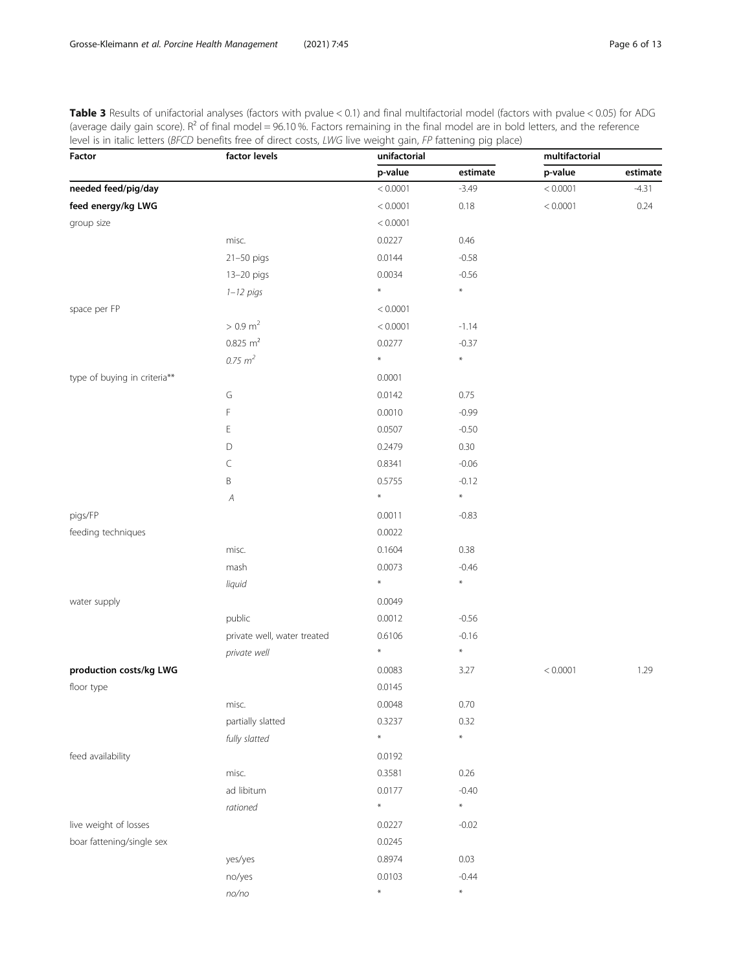<span id="page-5-0"></span>Table 3 Results of unifactorial analyses (factors with pvalue < 0.1) and final multifactorial model (factors with pvalue < 0.05) for ADG (average daily gain score).  $R^2$  of final model = 96.10 %. Factors remaining in the final model are in bold letters, and the reference level is in italic letters (BFCD benefits free of direct costs, LWG live weight gain, FP fattening pig place)

| Factor                       | factor levels               | unifactorial |          | multifactorial |          |  |
|------------------------------|-----------------------------|--------------|----------|----------------|----------|--|
|                              |                             | p-value      | estimate | p-value        | estimate |  |
| needed feed/pig/day          |                             | < 0.0001     | $-3.49$  | < 0.0001       | $-4.31$  |  |
| feed energy/kg LWG           |                             | < 0.0001     | 0.18     | < 0.0001       | 0.24     |  |
| group size                   |                             | < 0.0001     |          |                |          |  |
|                              | misc.                       | 0.0227       | 0.46     |                |          |  |
|                              | 21-50 pigs                  | 0.0144       | $-0.58$  |                |          |  |
|                              | 13-20 pigs                  | 0.0034       | $-0.56$  |                |          |  |
|                              | $1 - 12$ pigs               | $\ast$       | $\ast$   |                |          |  |
| space per FP                 |                             | < 0.0001     |          |                |          |  |
|                              | $> 0.9$ m <sup>2</sup>      | < 0.0001     | $-1.14$  |                |          |  |
|                              | $0.825 \text{ m}^2$         | 0.0277       | $-0.37$  |                |          |  |
|                              | $0.75 \; m^2$               | $\ast$       | $\ast$   |                |          |  |
| type of buying in criteria** |                             | 0.0001       |          |                |          |  |
|                              | G                           | 0.0142       | 0.75     |                |          |  |
|                              | F                           | 0.0010       | $-0.99$  |                |          |  |
|                              | Е                           | 0.0507       | $-0.50$  |                |          |  |
|                              | D                           | 0.2479       | 0.30     |                |          |  |
|                              | C                           | 0.8341       | $-0.06$  |                |          |  |
|                              | B                           | 0.5755       | $-0.12$  |                |          |  |
|                              | A                           | $\ast$       | $\ast$   |                |          |  |
| pigs/FP                      |                             | 0.0011       | $-0.83$  |                |          |  |
| feeding techniques           |                             | 0.0022       |          |                |          |  |
|                              | misc.                       | 0.1604       | 0.38     |                |          |  |
|                              | mash                        | 0.0073       | $-0.46$  |                |          |  |
|                              | liquid                      | $\ast$       | $\ast$   |                |          |  |
| water supply                 |                             | 0.0049       |          |                |          |  |
|                              | public                      | 0.0012       | $-0.56$  |                |          |  |
|                              | private well, water treated | 0.6106       | $-0.16$  |                |          |  |
|                              | private well                | $\ast$       | $\ast$   |                |          |  |
| production costs/kg LWG      |                             | 0.0083       | 3.27     | < 0.0001       | 1.29     |  |
| floor type                   |                             | 0.0145       |          |                |          |  |
|                              | misc.                       | 0.0048       | 0.70     |                |          |  |
|                              | partially slatted           | 0.3237       | 0.32     |                |          |  |
|                              | fully slatted               | $\ast$       | $\ast$   |                |          |  |
| feed availability            |                             | 0.0192       |          |                |          |  |
|                              | misc.                       | 0.3581       | 0.26     |                |          |  |
|                              | ad libitum                  | 0.0177       | $-0.40$  |                |          |  |
|                              | rationed                    | $\star$      | $\ast$   |                |          |  |
| live weight of losses        |                             | 0.0227       | $-0.02$  |                |          |  |
| boar fattening/single sex    |                             | 0.0245       |          |                |          |  |
|                              | yes/yes                     | 0.8974       | 0.03     |                |          |  |
|                              | no/yes                      | 0.0103       | $-0.44$  |                |          |  |
|                              | $no/no$                     | $\ast$       | $\ast$   |                |          |  |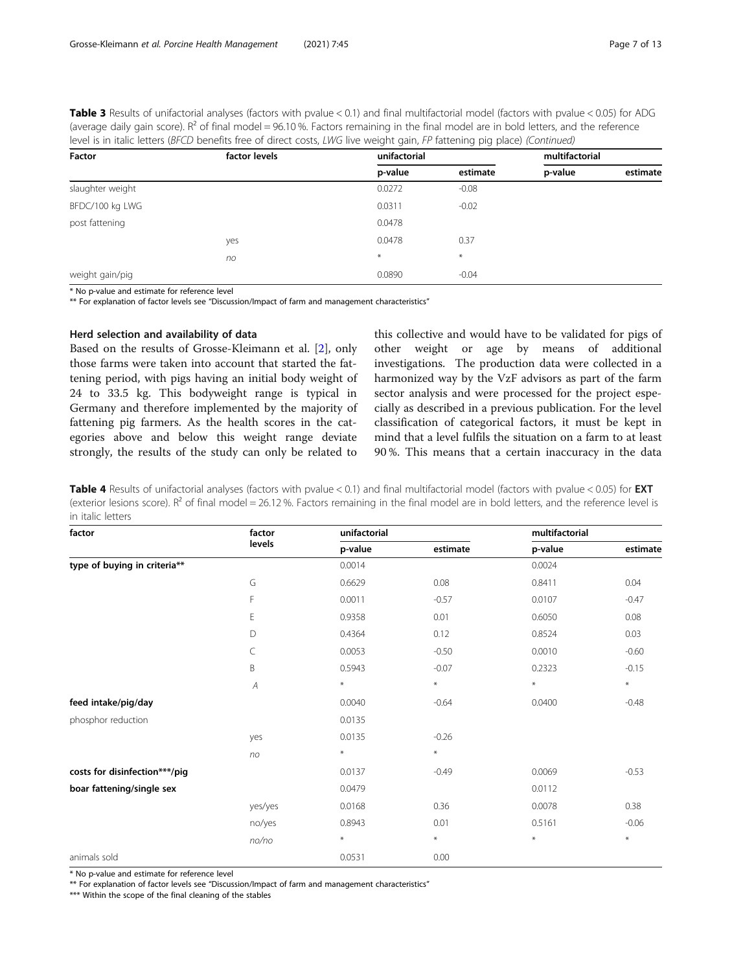<span id="page-6-0"></span>Table 3 Results of unifactorial analyses (factors with pvalue < 0.1) and final multifactorial model (factors with pvalue < 0.05) for ADG (average daily gain score). R<sup>2</sup> of final model = 96.10 %. Factors remaining in the final model are in bold letters, and the reference level is in italic letters (BFCD benefits free of direct costs, LWG live weight gain, FP fattening pig place) (Continued)

| Factor           | factor levels | unifactorial |          | multifactorial |          |
|------------------|---------------|--------------|----------|----------------|----------|
|                  |               | p-value      | estimate | p-value        | estimate |
| slaughter weight |               | 0.0272       | $-0.08$  |                |          |
| BFDC/100 kg LWG  |               | 0.0311       | $-0.02$  |                |          |
| post fattening   |               | 0.0478       |          |                |          |
|                  | yes           | 0.0478       | 0.37     |                |          |
|                  | no            | $\ast$       | $\ast$   |                |          |
| weight gain/pig  |               | 0.0890       | $-0.04$  |                |          |

\* No p-value and estimate for reference level

\*\* For explanation of factor levels see "Discussion/Impact of farm and management characteristics"

# Herd selection and availability of data

Based on the results of Grosse-Kleimann et al. [\[2](#page-11-0)], only those farms were taken into account that started the fattening period, with pigs having an initial body weight of 24 to 33.5 kg. This bodyweight range is typical in Germany and therefore implemented by the majority of fattening pig farmers. As the health scores in the categories above and below this weight range deviate strongly, the results of the study can only be related to this collective and would have to be validated for pigs of other weight or age by means of additional investigations. The production data were collected in a harmonized way by the VzF advisors as part of the farm sector analysis and were processed for the project especially as described in a previous publication. For the level classification of categorical factors, it must be kept in mind that a level fulfils the situation on a farm to at least 90 %. This means that a certain inaccuracy in the data

Table 4 Results of unifactorial analyses (factors with pvalue < 0.1) and final multifactorial model (factors with pvalue < 0.05) for EXT (exterior lesions score).  $R^2$  of final model = 26.12 %. Factors remaining in the final model are in bold letters, and the reference level is in italic letters

| factor                        | factor         | unifactorial |          |                  |          |
|-------------------------------|----------------|--------------|----------|------------------|----------|
|                               | levels         | p-value      | estimate | p-value          | estimate |
| type of buying in criteria**  |                | 0.0014       |          | 0.0024           |          |
|                               | G              | 0.6629       | 0.08     | 0.8411           | 0.04     |
|                               | F              | 0.0011       | $-0.57$  | 0.0107           | $-0.47$  |
|                               | E              | 0.9358       | 0.01     | 0.6050           | 0.08     |
|                               | D              | 0.4364       | 0.12     | 0.8524           | 0.03     |
|                               | C              | 0.0053       | $-0.50$  | 0.0010           | $-0.60$  |
|                               | B              | 0.5943       | $-0.07$  | 0.2323           | $-0.15$  |
|                               | $\overline{A}$ | $\ast$       | $\ast$   | $\divideontimes$ | $\ast$   |
| feed intake/pig/day           |                | 0.0040       | $-0.64$  | 0.0400           | $-0.48$  |
| phosphor reduction            |                | 0.0135       |          |                  |          |
|                               | yes            | 0.0135       | $-0.26$  |                  |          |
|                               | no             | $\ast$       | $\ast$   |                  |          |
| costs for disinfection***/pig |                | 0.0137       | $-0.49$  | 0.0069           | $-0.53$  |
| boar fattening/single sex     |                | 0.0479       |          | 0.0112           |          |
|                               | yes/yes        | 0.0168       | 0.36     | 0.0078           | 0.38     |
|                               | no/yes         | 0.8943       | 0.01     | 0.5161           | $-0.06$  |
|                               | no/no          | $\ast$       | $\ast$   | $\ast$           | $\ast$   |
| animals sold                  |                | 0.0531       | 0.00     |                  |          |

\* No p-value and estimate for reference level

\*\* For explanation of factor levels see "Discussion/Impact of farm and management characteristics"

\*\*\* Within the scope of the final cleaning of the stables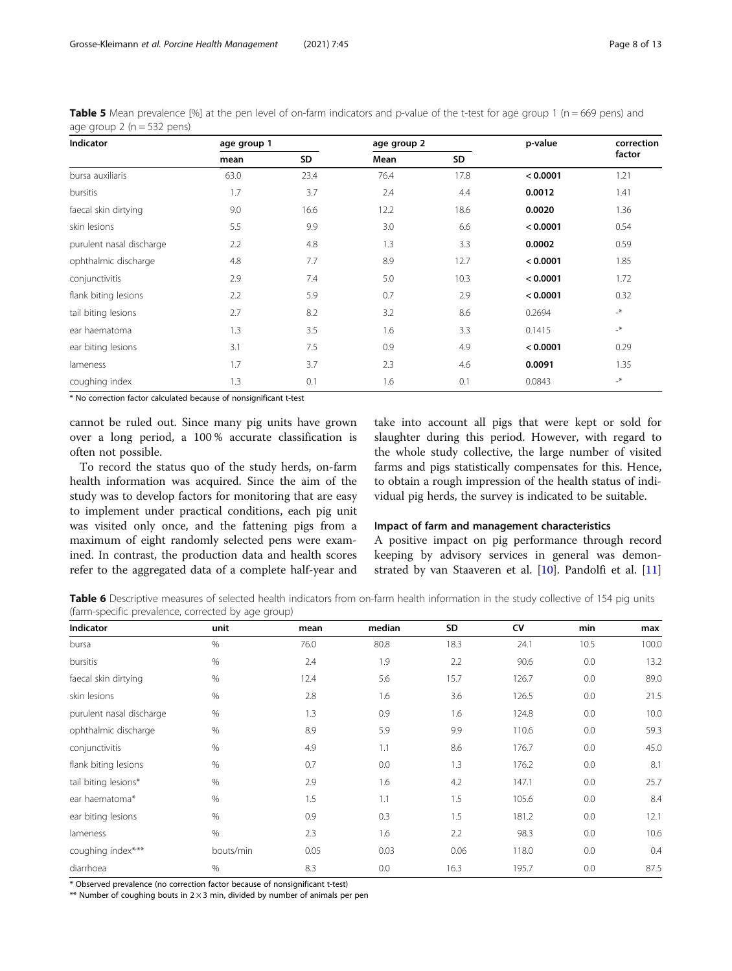<span id="page-7-0"></span>

| <b>Table 5</b> Mean prevalence [%] at the pen level of on-farm indicators and p-value of the t-test for age group 1 ( $n = 669$ pens) and |  |  |
|-------------------------------------------------------------------------------------------------------------------------------------------|--|--|
| age group $2(n = 532 \text{ pens})$                                                                                                       |  |  |

| Indicator                | age group 1 |      | age group 2 |      | p-value  | correction       |
|--------------------------|-------------|------|-------------|------|----------|------------------|
|                          | mean        | SD   | Mean        | SD   |          | factor           |
| bursa auxiliaris         | 63.0        | 23.4 | 76.4        | 17.8 | < 0.0001 | 1.21             |
| bursitis                 | 1.7         | 3.7  | 2.4         | 4.4  | 0.0012   | 1.41             |
| faecal skin dirtying     | 9.0         | 16.6 | 12.2        | 18.6 | 0.0020   | 1.36             |
| skin lesions             | 5.5         | 9.9  | 3.0         | 6.6  | < 0.0001 | 0.54             |
| purulent nasal discharge | 2.2         | 4.8  | 1.3         | 3.3  | 0.0002   | 0.59             |
| ophthalmic discharge     | 4.8         | 7.7  | 8.9         | 12.7 | < 0.0001 | 1.85             |
| conjunctivitis           | 2.9         | 7.4  | 5.0         | 10.3 | < 0.0001 | 1.72             |
| flank biting lesions     | 2.2         | 5.9  | 0.7         | 2.9  | < 0.0001 | 0.32             |
| tail biting lesions      | 2.7         | 8.2  | 3.2         | 8.6  | 0.2694   | $-$ *            |
| ear haematoma            | 1.3         | 3.5  | 1.6         | 3.3  | 0.1415   | $\mathbf{R}_{-}$ |
| ear biting lesions       | 3.1         | 7.5  | 0.9         | 4.9  | < 0.0001 | 0.29             |
| lameness                 | 1.7         | 3.7  | 2.3         | 4.6  | 0.0091   | 1.35             |
| coughing index           | 1.3         | 0.1  | 1.6         | 0.1  | 0.0843   | $\mathbb{R}^+$   |

\* No correction factor calculated because of nonsignificant t-test

cannot be ruled out. Since many pig units have grown over a long period, a 100 % accurate classification is often not possible.

To record the status quo of the study herds, on-farm health information was acquired. Since the aim of the study was to develop factors for monitoring that are easy to implement under practical conditions, each pig unit was visited only once, and the fattening pigs from a maximum of eight randomly selected pens were examined. In contrast, the production data and health scores refer to the aggregated data of a complete half-year and

take into account all pigs that were kept or sold for slaughter during this period. However, with regard to the whole study collective, the large number of visited farms and pigs statistically compensates for this. Hence, to obtain a rough impression of the health status of individual pig herds, the survey is indicated to be suitable.

#### Impact of farm and management characteristics

A positive impact on pig performance through record keeping by advisory services in general was demonstrated by van Staaveren et al. [\[10](#page-11-0)]. Pandolfi et al. [[11](#page-11-0)]

Table 6 Descriptive measures of selected health indicators from on-farm health information in the study collective of 154 pig units (farm-specific prevalence, corrected by age group)

| <b>Indicator</b>         | unit      | mean | median | SD.  | <b>CV</b> | min  | max   |
|--------------------------|-----------|------|--------|------|-----------|------|-------|
| bursa                    | $\%$      | 76.0 | 80.8   | 18.3 | 24.1      | 10.5 | 100.0 |
| bursitis                 | $\%$      | 2.4  | 1.9    | 2.2  | 90.6      | 0.0  | 13.2  |
| faecal skin dirtying     | %         | 12.4 | 5.6    | 15.7 | 126.7     | 0.0  | 89.0  |
| skin lesions             | %         | 2.8  | 1.6    | 3.6  | 126.5     | 0.0  | 21.5  |
| purulent nasal discharge | $\%$      | 1.3  | 0.9    | 1.6  | 124.8     | 0.0  | 10.0  |
| ophthalmic discharge     | %         | 8.9  | 5.9    | 9.9  | 110.6     | 0.0  | 59.3  |
| conjunctivitis           | %         | 4.9  | 1.1    | 8.6  | 176.7     | 0.0  | 45.0  |
| flank biting lesions     | %         | 0.7  | 0.0    | 1.3  | 176.2     | 0.0  | 8.1   |
| tail biting lesions*     | $\%$      | 2.9  | 1.6    | 4.2  | 147.1     | 0.0  | 25.7  |
| ear haematoma*           | %         | 1.5  | 1.1    | 1.5  | 105.6     | 0.0  | 8.4   |
| ear biting lesions       | $\%$      | 0.9  | 0.3    | 1.5  | 181.2     | 0.0  | 12.1  |
| lameness                 | %         | 2.3  | 1.6    | 2.2  | 98.3      | 0.0  | 10.6  |
| coughing index***        | bouts/min | 0.05 | 0.03   | 0.06 | 118.0     | 0.0  | 0.4   |
| diarrhoea                | $\%$      | 8.3  | 0.0    | 16.3 | 195.7     | 0.0  | 87.5  |

\* Observed prevalence (no correction factor because of nonsignificant t-test)

\*\* Number of coughing bouts in  $2 \times 3$  min, divided by number of animals per pen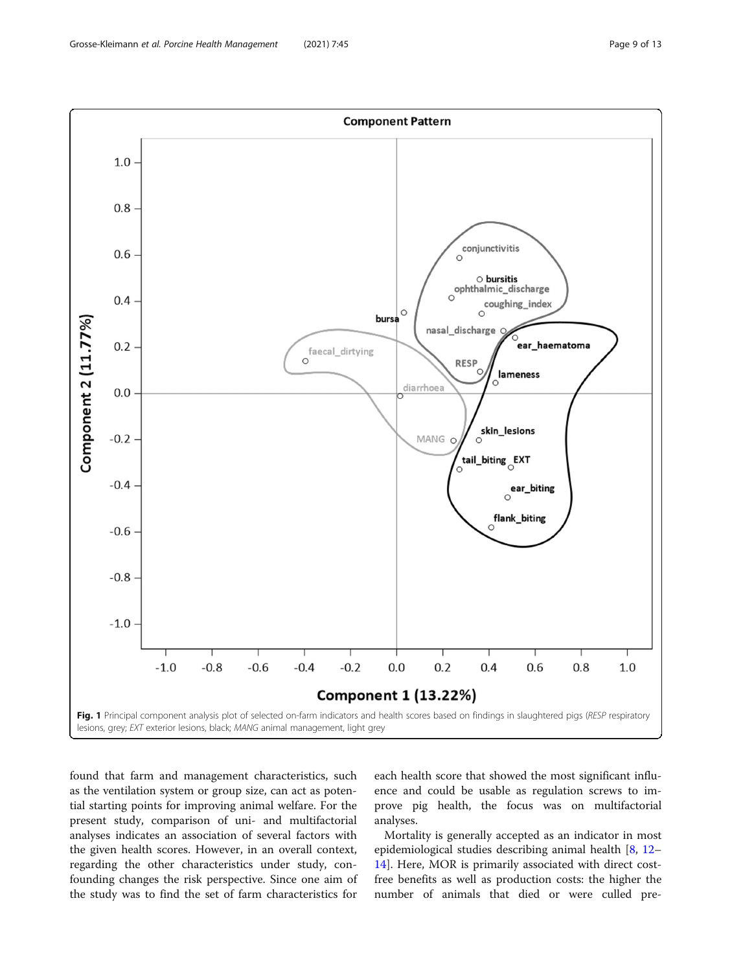<span id="page-8-0"></span>

found that farm and management characteristics, such as the ventilation system or group size, can act as potential starting points for improving animal welfare. For the present study, comparison of uni- and multifactorial analyses indicates an association of several factors with the given health scores. However, in an overall context, regarding the other characteristics under study, confounding changes the risk perspective. Since one aim of the study was to find the set of farm characteristics for

each health score that showed the most significant influence and could be usable as regulation screws to improve pig health, the focus was on multifactorial analyses.

Mortality is generally accepted as an indicator in most epidemiological studies describing animal health [\[8](#page-11-0), [12](#page-11-0)– [14\]](#page-12-0). Here, MOR is primarily associated with direct costfree benefits as well as production costs: the higher the number of animals that died or were culled pre-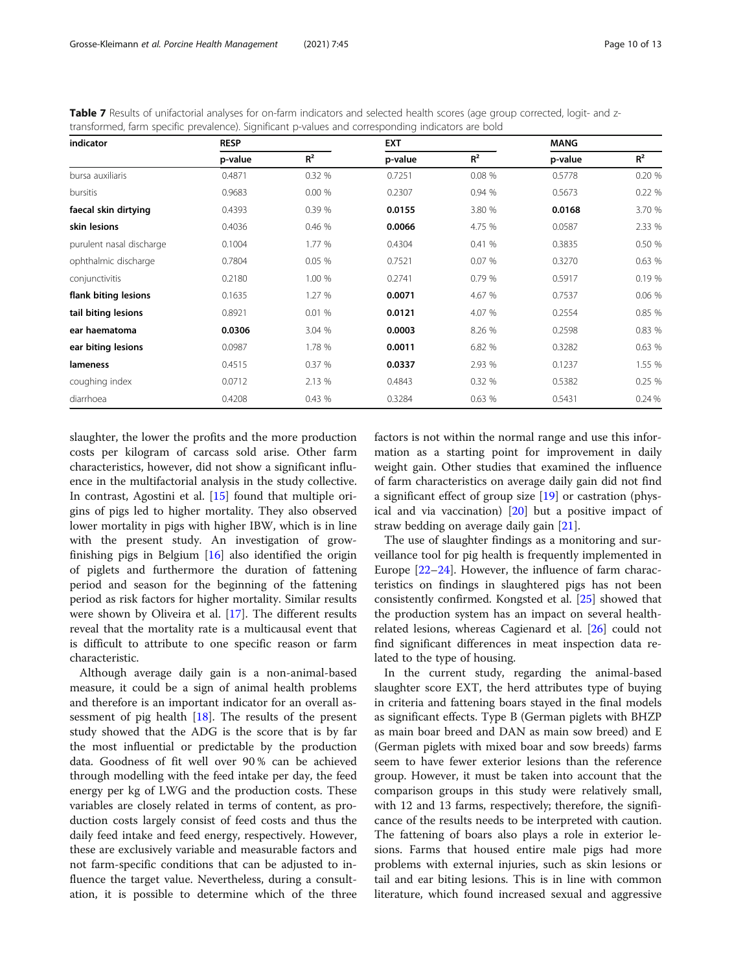<span id="page-9-0"></span>Table 7 Results of unifactorial analyses for on-farm indicators and selected health scores (age group corrected, logit- and ztransformed, farm specific prevalence). Significant p-values and corresponding indicators are bold

| indicator                | <b>RESP</b> |        | <b>EXT</b> |        | <b>MANG</b> |        |
|--------------------------|-------------|--------|------------|--------|-------------|--------|
|                          | p-value     | $R^2$  | p-value    | $R^2$  | p-value     | $R^2$  |
| bursa auxiliaris         | 0.4871      | 0.32 % | 0.7251     | 0.08 % | 0.5778      | 0.20 % |
| bursitis                 | 0.9683      | 0.00%  | 0.2307     | 0.94 % | 0.5673      | 0.22 % |
| faecal skin dirtying     | 0.4393      | 0.39 % | 0.0155     | 3.80 % | 0.0168      | 3.70 % |
| skin lesions             | 0.4036      | 0.46 % | 0.0066     | 4.75 % | 0.0587      | 2.33 % |
| purulent nasal discharge | 0.1004      | 1.77 % | 0.4304     | 0.41%  | 0.3835      | 0.50 % |
| ophthalmic discharge     | 0.7804      | 0.05%  | 0.7521     | 0.07 % | 0.3270      | 0.63 % |
| conjunctivitis           | 0.2180      | 1.00 % | 0.2741     | 0.79%  | 0.5917      | 0.19 % |
| flank biting lesions     | 0.1635      | 1.27 % | 0.0071     | 4.67 % | 0.7537      | 0.06 % |
| tail biting lesions      | 0.8921      | 0.01%  | 0.0121     | 4.07 % | 0.2554      | 0.85 % |
| ear haematoma            | 0.0306      | 3.04 % | 0.0003     | 8.26 % | 0.2598      | 0.83 % |
| ear biting lesions       | 0.0987      | 1.78 % | 0.0011     | 6.82 % | 0.3282      | 0.63 % |
| lameness                 | 0.4515      | 0.37%  | 0.0337     | 2.93 % | 0.1237      | 1.55 % |
| coughing index           | 0.0712      | 2.13 % | 0.4843     | 0.32 % | 0.5382      | 0.25 % |
| diarrhoea                | 0.4208      | 0.43 % | 0.3284     | 0.63 % | 0.5431      | 0.24%  |

slaughter, the lower the profits and the more production costs per kilogram of carcass sold arise. Other farm characteristics, however, did not show a significant influence in the multifactorial analysis in the study collective. In contrast, Agostini et al. [[15](#page-12-0)] found that multiple origins of pigs led to higher mortality. They also observed lower mortality in pigs with higher IBW, which is in line with the present study. An investigation of growfinishing pigs in Belgium [[16](#page-12-0)] also identified the origin of piglets and furthermore the duration of fattening period and season for the beginning of the fattening period as risk factors for higher mortality. Similar results were shown by Oliveira et al. [[17](#page-12-0)]. The different results reveal that the mortality rate is a multicausal event that is difficult to attribute to one specific reason or farm characteristic.

Although average daily gain is a non-animal-based measure, it could be a sign of animal health problems and therefore is an important indicator for an overall assessment of pig health [[18\]](#page-12-0). The results of the present study showed that the ADG is the score that is by far the most influential or predictable by the production data. Goodness of fit well over 90 % can be achieved through modelling with the feed intake per day, the feed energy per kg of LWG and the production costs. These variables are closely related in terms of content, as production costs largely consist of feed costs and thus the daily feed intake and feed energy, respectively. However, these are exclusively variable and measurable factors and not farm-specific conditions that can be adjusted to influence the target value. Nevertheless, during a consultation, it is possible to determine which of the three factors is not within the normal range and use this information as a starting point for improvement in daily weight gain. Other studies that examined the influence of farm characteristics on average daily gain did not find a significant effect of group size [[19\]](#page-12-0) or castration (physical and via vaccination) [[20\]](#page-12-0) but a positive impact of straw bedding on average daily gain [\[21](#page-12-0)].

The use of slaughter findings as a monitoring and surveillance tool for pig health is frequently implemented in Europe [[22](#page-12-0)–[24](#page-12-0)]. However, the influence of farm characteristics on findings in slaughtered pigs has not been consistently confirmed. Kongsted et al. [\[25\]](#page-12-0) showed that the production system has an impact on several healthrelated lesions, whereas Cagienard et al. [\[26\]](#page-12-0) could not find significant differences in meat inspection data related to the type of housing.

In the current study, regarding the animal-based slaughter score EXT, the herd attributes type of buying in criteria and fattening boars stayed in the final models as significant effects. Type B (German piglets with BHZP as main boar breed and DAN as main sow breed) and E (German piglets with mixed boar and sow breeds) farms seem to have fewer exterior lesions than the reference group. However, it must be taken into account that the comparison groups in this study were relatively small, with 12 and 13 farms, respectively; therefore, the significance of the results needs to be interpreted with caution. The fattening of boars also plays a role in exterior lesions. Farms that housed entire male pigs had more problems with external injuries, such as skin lesions or tail and ear biting lesions. This is in line with common literature, which found increased sexual and aggressive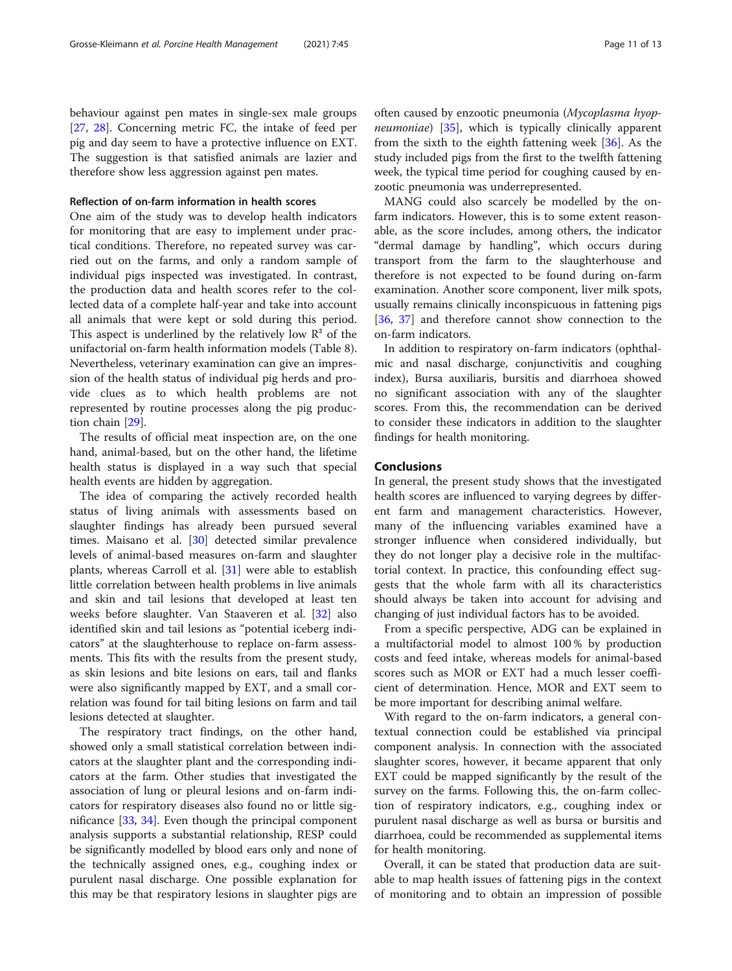behaviour against pen mates in single-sex male groups [[27,](#page-12-0) [28](#page-12-0)]. Concerning metric FC, the intake of feed per pig and day seem to have a protective influence on EXT. The suggestion is that satisfied animals are lazier and therefore show less aggression against pen mates.

# Reflection of on-farm information in health scores

One aim of the study was to develop health indicators for monitoring that are easy to implement under practical conditions. Therefore, no repeated survey was carried out on the farms, and only a random sample of individual pigs inspected was investigated. In contrast, the production data and health scores refer to the collected data of a complete half-year and take into account all animals that were kept or sold during this period. This aspect is underlined by the relatively low  $\mathbb{R}^2$  of the unifactorial on-farm health information models (Table 8). Nevertheless, veterinary examination can give an impression of the health status of individual pig herds and provide clues as to which health problems are not represented by routine processes along the pig production chain [\[29\]](#page-12-0).

The results of official meat inspection are, on the one hand, animal-based, but on the other hand, the lifetime health status is displayed in a way such that special health events are hidden by aggregation.

The idea of comparing the actively recorded health status of living animals with assessments based on slaughter findings has already been pursued several times. Maisano et al. [\[30](#page-12-0)] detected similar prevalence levels of animal-based measures on-farm and slaughter plants, whereas Carroll et al. [\[31](#page-12-0)] were able to establish little correlation between health problems in live animals and skin and tail lesions that developed at least ten weeks before slaughter. Van Staaveren et al. [[32\]](#page-12-0) also identified skin and tail lesions as "potential iceberg indicators" at the slaughterhouse to replace on-farm assessments. This fits with the results from the present study, as skin lesions and bite lesions on ears, tail and flanks were also significantly mapped by EXT, and a small correlation was found for tail biting lesions on farm and tail lesions detected at slaughter.

The respiratory tract findings, on the other hand, showed only a small statistical correlation between indicators at the slaughter plant and the corresponding indicators at the farm. Other studies that investigated the association of lung or pleural lesions and on-farm indicators for respiratory diseases also found no or little significance [[33](#page-12-0), [34\]](#page-12-0). Even though the principal component analysis supports a substantial relationship, RESP could be significantly modelled by blood ears only and none of the technically assigned ones, e.g., coughing index or purulent nasal discharge. One possible explanation for this may be that respiratory lesions in slaughter pigs are

often caused by enzootic pneumonia (Mycoplasma hyop*neumoniae*)  $[35]$ , which is typically clinically apparent from the sixth to the eighth fattening week [[36](#page-12-0)]. As the study included pigs from the first to the twelfth fattening week, the typical time period for coughing caused by enzootic pneumonia was underrepresented.

MANG could also scarcely be modelled by the onfarm indicators. However, this is to some extent reasonable, as the score includes, among others, the indicator "dermal damage by handling", which occurs during transport from the farm to the slaughterhouse and therefore is not expected to be found during on-farm examination. Another score component, liver milk spots, usually remains clinically inconspicuous in fattening pigs [[36,](#page-12-0) [37](#page-12-0)] and therefore cannot show connection to the on-farm indicators.

In addition to respiratory on-farm indicators (ophthalmic and nasal discharge, conjunctivitis and coughing index), Bursa auxiliaris, bursitis and diarrhoea showed no significant association with any of the slaughter scores. From this, the recommendation can be derived to consider these indicators in addition to the slaughter findings for health monitoring.

# Conclusions

In general, the present study shows that the investigated health scores are influenced to varying degrees by different farm and management characteristics. However, many of the influencing variables examined have a stronger influence when considered individually, but they do not longer play a decisive role in the multifactorial context. In practice, this confounding effect suggests that the whole farm with all its characteristics should always be taken into account for advising and changing of just individual factors has to be avoided.

From a specific perspective, ADG can be explained in a multifactorial model to almost 100 % by production costs and feed intake, whereas models for animal-based scores such as MOR or EXT had a much lesser coefficient of determination. Hence, MOR and EXT seem to be more important for describing animal welfare.

With regard to the on-farm indicators, a general contextual connection could be established via principal component analysis. In connection with the associated slaughter scores, however, it became apparent that only EXT could be mapped significantly by the result of the survey on the farms. Following this, the on-farm collection of respiratory indicators, e.g., coughing index or purulent nasal discharge as well as bursa or bursitis and diarrhoea, could be recommended as supplemental items for health monitoring.

Overall, it can be stated that production data are suitable to map health issues of fattening pigs in the context of monitoring and to obtain an impression of possible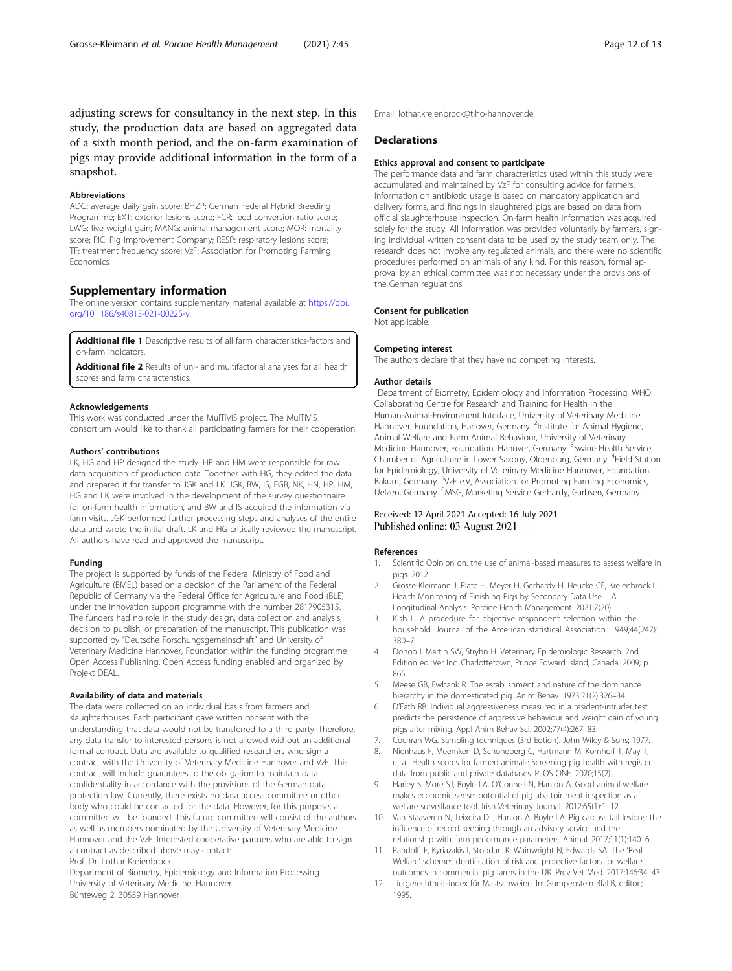<span id="page-11-0"></span>adjusting screws for consultancy in the next step. In this study, the production data are based on aggregated data of a sixth month period, and the on-farm examination of pigs may provide additional information in the form of a snapshot.

#### Abbreviations

ADG: average daily gain score; BHZP: German Federal Hybrid Breeding Programme; EXT: exterior lesions score; FCR: feed conversion ratio score; LWG: live weight gain; MANG: animal management score; MOR: mortality score; PIC: Pig Improvement Company; RESP: respiratory lesions score; TF: treatment frequency score; VzF: Association for Promoting Farming Economics

## Supplementary information

The online version contains supplementary material available at [https://doi.](https://doi.org/10.1186/s40813-021-00225-y) [org/10.1186/s40813-021-00225-y](https://doi.org/10.1186/s40813-021-00225-y).

Additional file 1 Descriptive results of all farm characteristics-factors and on-farm indicators.

Additional file 2 Results of uni- and multifactorial analyses for all health scores and farm characteristics.

#### Acknowledgements

This work was conducted under the MulTiViS project. The MulTiViS consortium would like to thank all participating farmers for their cooperation.

#### Authors' contributions

LK, HG and HP designed the study. HP and HM were responsible for raw data acquisition of production data. Together with HG, they edited the data and prepared it for transfer to JGK and LK. JGK, BW, IS, EGB, NK, HN, HP, HM, HG and LK were involved in the development of the survey questionnaire for on-farm health information, and BW and IS acquired the information via farm visits. JGK performed further processing steps and analyses of the entire data and wrote the initial draft. LK and HG critically reviewed the manuscript. All authors have read and approved the manuscript.

#### Funding

The project is supported by funds of the Federal Ministry of Food and Agriculture (BMEL) based on a decision of the Parliament of the Federal Republic of Germany via the Federal Office for Agriculture and Food (BLE) under the innovation support programme with the number 2817905315. The funders had no role in the study design, data collection and analysis, decision to publish, or preparation of the manuscript. This publication was supported by "Deutsche Forschungsgemeinschaft" and University of Veterinary Medicine Hannover, Foundation within the funding programme Open Access Publishing. Open Access funding enabled and organized by Projekt DEAL.

#### Availability of data and materials

The data were collected on an individual basis from farmers and slaughterhouses. Each participant gave written consent with the understanding that data would not be transferred to a third party. Therefore, any data transfer to interested persons is not allowed without an additional formal contract. Data are available to qualified researchers who sign a contract with the University of Veterinary Medicine Hannover and VzF. This contract will include guarantees to the obligation to maintain data confidentiality in accordance with the provisions of the German data protection law. Currently, there exists no data access committee or other body who could be contacted for the data. However, for this purpose, a committee will be founded. This future committee will consist of the authors as well as members nominated by the University of Veterinary Medicine Hannover and the VzF. Interested cooperative partners who are able to sign a contract as described above may contact: Prof. Dr. Lothar Kreienbrock

Department of Biometry, Epidemiology and Information Processing University of Veterinary Medicine, Hannover

Bünteweg 2, 30559 Hannover

Email: lothar.kreienbrock@tiho-hannover.de

# Declarations

#### Ethics approval and consent to participate

The performance data and farm characteristics used within this study were accumulated and maintained by VzF for consulting advice for farmers. Information on antibiotic usage is based on mandatory application and delivery forms, and findings in slaughtered pigs are based on data from official slaughterhouse inspection. On-farm health information was acquired solely for the study. All information was provided voluntarily by farmers, signing individual written consent data to be used by the study team only. The research does not involve any regulated animals, and there were no scientific procedures performed on animals of any kind. For this reason, formal approval by an ethical committee was not necessary under the provisions of the German regulations.

#### Consent for publication

Not applicable.

#### Competing interest

The authors declare that they have no competing interests.

#### Author details

<sup>1</sup>Department of Biometry, Epidemiology and Information Processing, WHO Collaborating Centre for Research and Training for Health in the Human-Animal-Environment Interface, University of Veterinary Medicine Hannover, Foundation, Hanover, Germany. <sup>2</sup>Institute for Animal Hygiene Animal Welfare and Farm Animal Behaviour, University of Veterinary Medicine Hannover, Foundation, Hanover, Germany. <sup>3</sup>Swine Health Service, Chamber of Agriculture in Lower Saxony, Oldenburg, Germany. <sup>4</sup>Field Station for Epidemiology, University of Veterinary Medicine Hannover, Foundation, Bakum, Germany. <sup>5</sup>VzF e.V, Association for Promoting Farming Economics Uelzen, Germany. <sup>6</sup>MSG, Marketing Service Gerhardy, Garbsen, Germany

# Received: 12 April 2021 Accepted: 16 July 2021 Published online: 03 August 2021

#### References

- 1. Scientific Opinion on. the use of animal-based measures to assess welfare in pigs. 2012.
- 2. Grosse-Kleimann J, Plate H, Meyer H, Gerhardy H, Heucke CE, Kreienbrock L. Health Monitoring of Finishing Pigs by Secondary Data Use – A Longitudinal Analysis. Porcine Health Management. 2021;7(20).
- Kish L. A procedure for objective respondent selection within the household. Journal of the American statistical Association. 1949;44(247): 380–7.
- 4. Dohoo I, Martin SW, Stryhn H. Veterinary Epidemiologic Research. 2nd Edition ed. Ver Inc. Charlottetown, Prince Edward Island, Canada. 2009; p. 865.
- 5. Meese GB, Ewbank R. The establishment and nature of the dominance hierarchy in the domesticated pig. Anim Behav. 1973;21(2):326–34.
- 6. D'Eath RB. Individual aggressiveness measured in a resident-intruder test predicts the persistence of aggressive behaviour and weight gain of young pigs after mixing. Appl Anim Behav Sci. 2002;77(4):267–83.
- 7. Cochran WG. Sampling techniques (3rd Edtion). John Wiley & Sons; 1977.
- 8. Nienhaus F, Meemken D, Schoneberg C, Hartmann M, Kornhoff T, May T, et al. Health scores for farmed animals: Screening pig health with register data from public and private databases. PLOS ONE. 2020;15(2).
- Harley S, More SJ, Boyle LA, O'Connell N, Hanlon A. Good animal welfare makes economic sense: potential of pig abattoir meat inspection as a welfare surveillance tool. Irish Veterinary Journal. 2012;65(1):1–12.
- 10. Van Staaveren N, Teixeira DL, Hanlon A, Boyle LA. Pig carcass tail lesions: the influence of record keeping through an advisory service and the relationship with farm performance parameters. Animal. 2017;11(1):140–6.
- 11. Pandolfi F, Kyriazakis I, Stoddart K, Wainwright N, Edwards SA. The 'Real Welfare' scheme: Identification of risk and protective factors for welfare outcomes in commercial pig farms in the UK. Prev Vet Med. 2017;146:34–43.
- 12. Tiergerechtheitsindex für Mastschweine. In: Gumpenstein BfaLB, editor.; 1995.